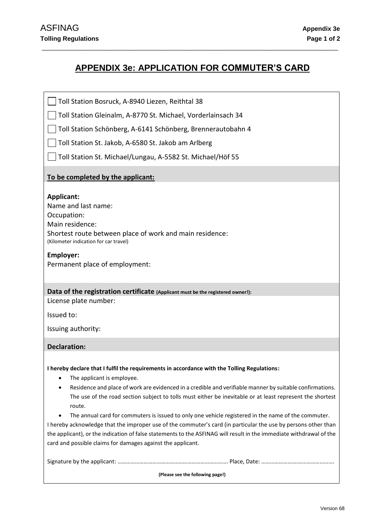# **APPENDIX 3e: APPLICATION FOR COMMUTER'S CARD**

\_\_\_\_\_\_\_\_\_\_\_\_\_\_\_\_\_\_\_\_\_\_\_\_\_\_\_\_\_\_\_\_\_\_\_\_\_\_\_\_\_\_\_\_\_\_\_\_\_\_\_\_\_\_\_\_\_\_\_\_\_\_\_\_\_\_\_\_\_\_\_\_\_\_\_\_\_\_\_\_\_\_\_\_\_

Toll Station Bosruck, A-8940 Liezen, Reithtal 38

Toll Station Gleinalm, A-8770 St. Michael, Vorderlainsach 34

Toll Station Schönberg, A-6141 Schönberg, Brennerautobahn 4

Toll Station St. Jakob, A-6580 St. Jakob am Arlberg

Toll Station St. Michael/Lungau, A-5582 St. Michael/Höf 55

### **To be completed by the applicant:**

### **Applicant:**

Name and last name: Occupation: Main residence: Shortest route between place of work and main residence: (Kilometer indication for car travel)

#### **Employer:**

Permanent place of employment:

# **Data of the registration certificate (Applicant must be the registered owner!):**

License plate number:

Issued to:

Issuing authority:

### **Declaration:**

**I hereby declare that I fulfil the requirements in accordance with the Tolling Regulations:**

- The applicant is employee.
- Residence and place of work are evidenced in a credible and verifiable manner by suitable confirmations. The use of the road section subject to tolls must either be inevitable or at least represent the shortest route.
- The annual card for commuters is issued to only one vehicle registered in the name of the commuter.

I hereby acknowledge that the improper use of the commuter's card (in particular the use by persons other than the applicant), or the indication of false statements to the ASFINAG will result in the immediate withdrawal of the card and possible claims for damages against the applicant.

**(Please see the following page!)**